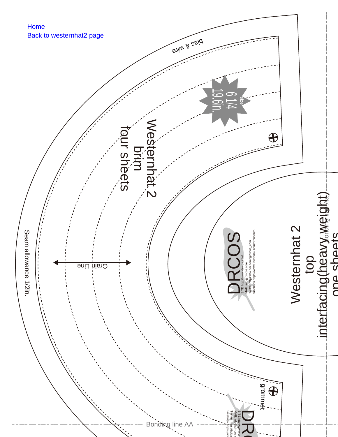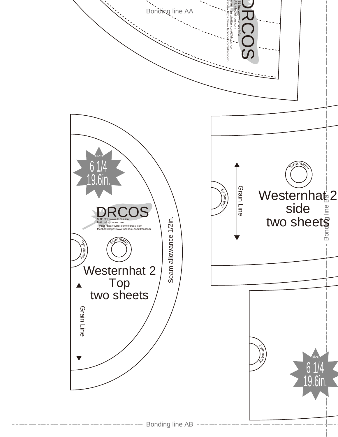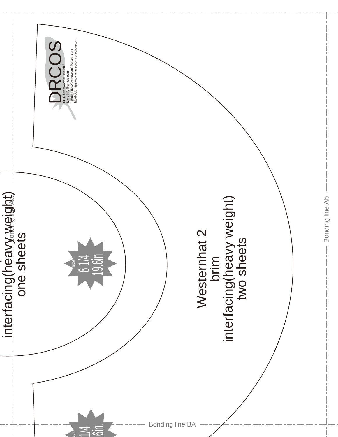